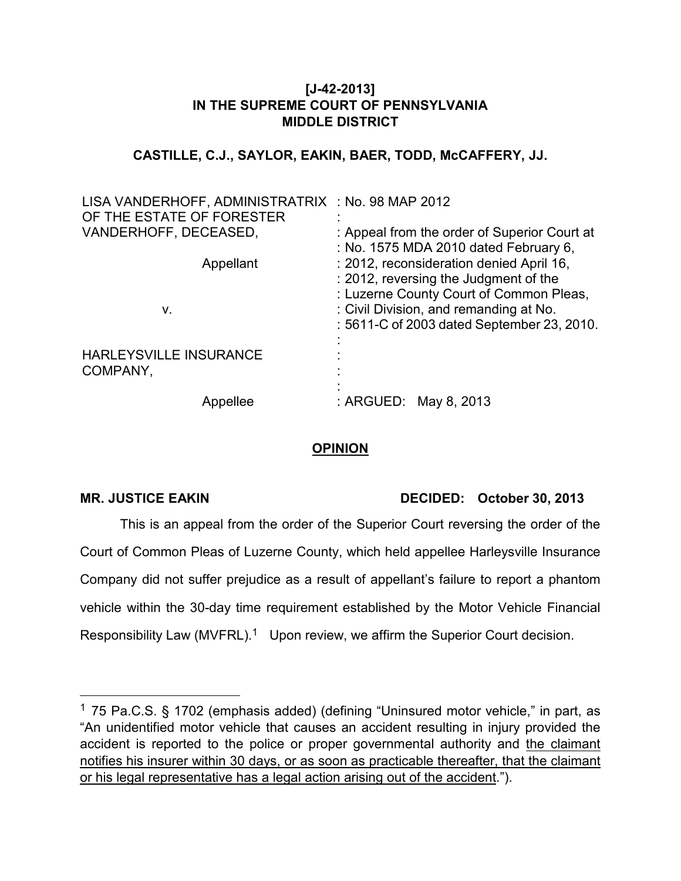# **[J-42-2013] IN THE SUPREME COURT OF PENNSYLVANIA MIDDLE DISTRICT**

#### **CASTILLE, C.J., SAYLOR, EAKIN, BAER, TODD, McCAFFERY, JJ.**

| LISA VANDERHOFF, ADMINISTRATRIX : No. 98 MAP 2012<br>OF THE ESTATE OF FORESTER |                                                                                                                                                                                                                      |
|--------------------------------------------------------------------------------|----------------------------------------------------------------------------------------------------------------------------------------------------------------------------------------------------------------------|
| VANDERHOFF, DECEASED,                                                          | : Appeal from the order of Superior Court at<br>: No. 1575 MDA 2010 dated February 6,                                                                                                                                |
| Appellant<br>ν.                                                                | : 2012, reconsideration denied April 16,<br>: 2012, reversing the Judgment of the<br>: Luzerne County Court of Common Pleas,<br>: Civil Division, and remanding at No.<br>: 5611-C of 2003 dated September 23, 2010. |
| <b>HARLEYSVILLE INSURANCE</b><br>COMPANY,                                      |                                                                                                                                                                                                                      |
| Appellee                                                                       | : ARGUED: May 8, 2013                                                                                                                                                                                                |

# **OPINION**

-

# MR. JUSTICE EAKIN DECIDED: October 30, 2013

This is an appeal from the order of the Superior Court reversing the order of the Court of Common Pleas of Luzerne County, which held appellee Harleysville Insurance Company did not suffer prejudice as a result of appellant's failure to report a phantom vehicle within the 30-day time requirement established by the Motor Vehicle Financial Responsibility Law (MVFRL).<sup>1</sup> Upon review, we affirm the Superior Court decision.

<sup>&</sup>lt;sup>1</sup> 75 Pa.C.S. § 1702 (emphasis added) (defining "Uninsured motor vehicle," in part, as "An unidentified motor vehicle that causes an accident resulting in injury provided the accident is reported to the police or proper governmental authority and the claimant notifies his insurer within 30 days, or as soon as practicable thereafter, that the claimant or his legal representative has a legal action arising out of the accident.").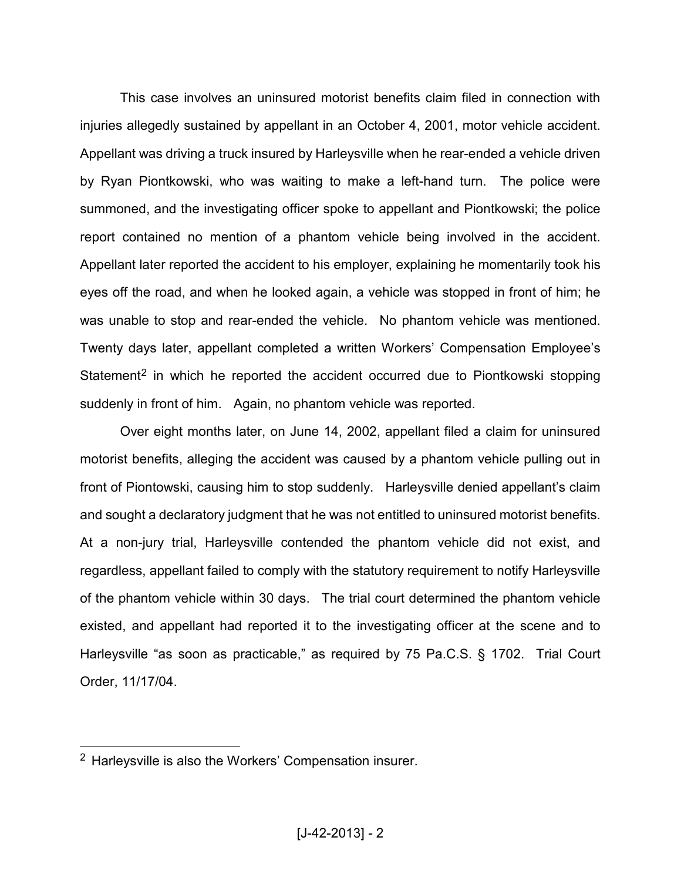This case involves an uninsured motorist benefits claim filed in connection with injuries allegedly sustained by appellant in an October 4, 2001, motor vehicle accident. Appellant was driving a truck insured by Harleysville when he rear-ended a vehicle driven by Ryan Piontkowski, who was waiting to make a left-hand turn. The police were summoned, and the investigating officer spoke to appellant and Piontkowski; the police report contained no mention of a phantom vehicle being involved in the accident. Appellant later reported the accident to his employer, explaining he momentarily took his eyes off the road, and when he looked again, a vehicle was stopped in front of him; he was unable to stop and rear-ended the vehicle. No phantom vehicle was mentioned. Twenty days later, appellant completed a written Workers' Compensation Employee's Statement<sup>2</sup> in which he reported the accident occurred due to Piontkowski stopping suddenly in front of him. Again, no phantom vehicle was reported.

Over eight months later, on June 14, 2002, appellant filed a claim for uninsured motorist benefits, alleging the accident was caused by a phantom vehicle pulling out in front of Piontowski, causing him to stop suddenly. Harleysville denied appellant's claim and sought a declaratory judgment that he was not entitled to uninsured motorist benefits. At a non-jury trial, Harleysville contended the phantom vehicle did not exist, and regardless, appellant failed to comply with the statutory requirement to notify Harleysville of the phantom vehicle within 30 days. The trial court determined the phantom vehicle existed, and appellant had reported it to the investigating officer at the scene and to Harleysville "as soon as practicable," as required by 75 Pa.C.S. § 1702. Trial Court Order, 11/17/04.

 $\overline{a}$ 

<sup>&</sup>lt;sup>2</sup> Harleysville is also the Workers' Compensation insurer.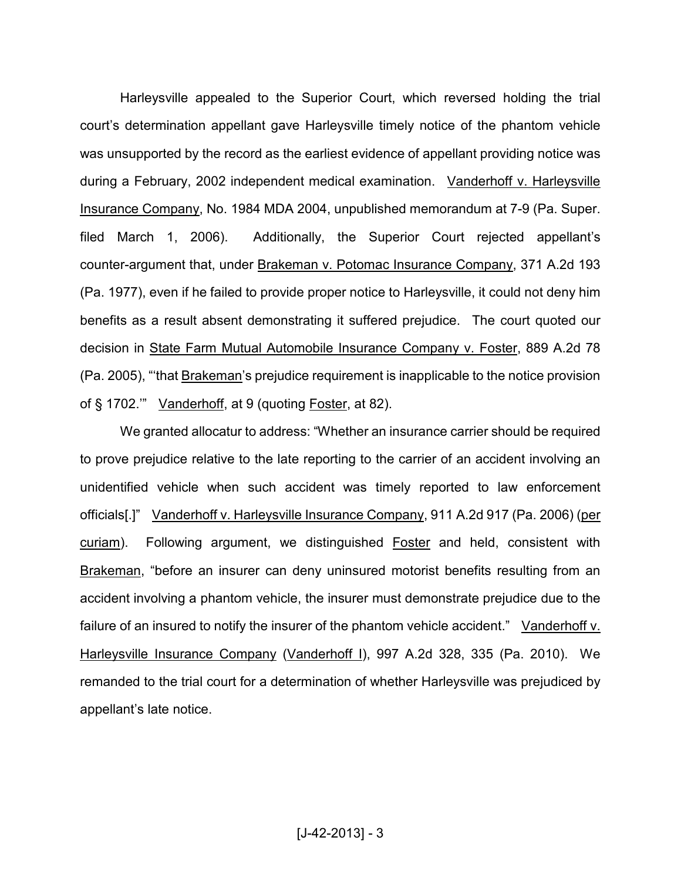Harleysville appealed to the Superior Court, which reversed holding the trial court's determination appellant gave Harleysville timely notice of the phantom vehicle was unsupported by the record as the earliest evidence of appellant providing notice was during a February, 2002 independent medical examination. Vanderhoff v. Harleysville Insurance Company, No. 1984 MDA 2004, unpublished memorandum at 7-9 (Pa. Super. filed March 1, 2006). Additionally, the Superior Court rejected appellant's counter-argument that, under Brakeman v. Potomac Insurance Company, 371 A.2d 193 (Pa. 1977), even if he failed to provide proper notice to Harleysville, it could not deny him benefits as a result absent demonstrating it suffered prejudice. The court quoted our decision in State Farm Mutual Automobile Insurance Company v. Foster, 889 A.2d 78 (Pa. 2005), "'that Brakeman's prejudice requirement is inapplicable to the notice provision of § 1702.'" Vanderhoff, at 9 (quoting Foster, at 82).

We granted allocatur to address: "Whether an insurance carrier should be required to prove prejudice relative to the late reporting to the carrier of an accident involving an unidentified vehicle when such accident was timely reported to law enforcement officials[.]" Vanderhoff v. Harleysville Insurance Company, 911 A.2d 917 (Pa. 2006) (per curiam). Following argument, we distinguished Foster and held, consistent with Brakeman, "before an insurer can deny uninsured motorist benefits resulting from an accident involving a phantom vehicle, the insurer must demonstrate prejudice due to the failure of an insured to notify the insurer of the phantom vehicle accident." Vanderhoff v. Harleysville Insurance Company (Vanderhoff I), 997 A.2d 328, 335 (Pa. 2010). We remanded to the trial court for a determination of whether Harleysville was prejudiced by appellant's late notice.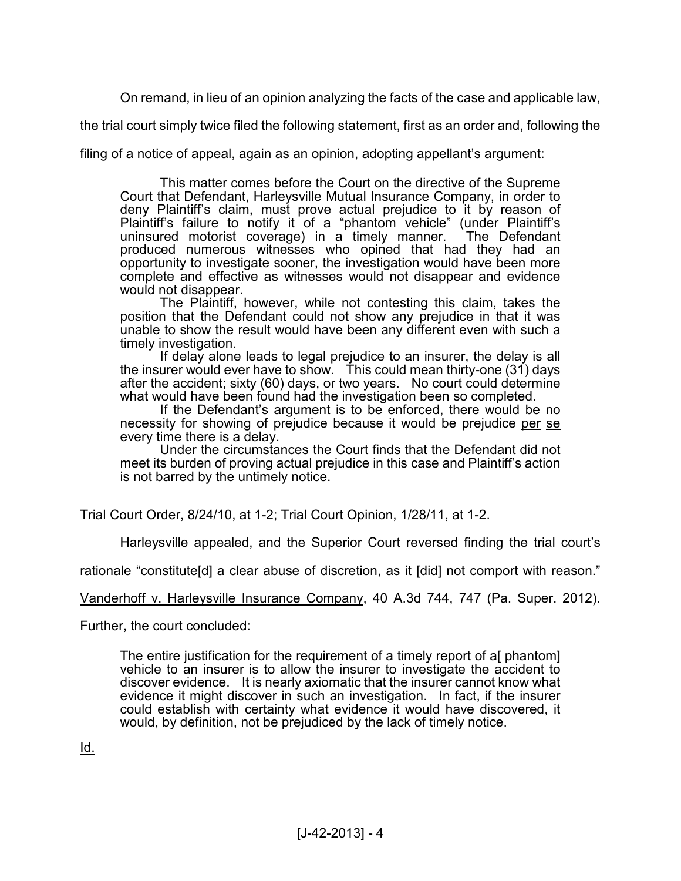On remand, in lieu of an opinion analyzing the facts of the case and applicable law,

the trial court simply twice filed the following statement, first as an order and, following the

filing of a notice of appeal, again as an opinion, adopting appellant's argument:

This matter comes before the Court on the directive of the Supreme Court that Defendant, Harleysville Mutual Insurance Company, in order to deny Plaintiff's claim, must prove actual prejudice to it by reason of Plaintiff's failure to notify it of a "phantom vehicle" (under Plaintiff's uninsured motorist coverage) in a timely manner. The Defendant produced numerous witnesses who opined that had they had an opportunity to investigate sooner, the investigation would have been more complete and effective as witnesses would not disappear and evidence would not disappear.

The Plaintiff, however, while not contesting this claim, takes the position that the Defendant could not show any prejudice in that it was unable to show the result would have been any different even with such a timely investigation.

If delay alone leads to legal prejudice to an insurer, the delay is all the insurer would ever have to show. This could mean thirty-one (31) days after the accident; sixty (60) days, or two years. No court could determine what would have been found had the investigation been so completed.

If the Defendant's argument is to be enforced, there would be no necessity for showing of prejudice because it would be prejudice per se every time there is a delay.

Under the circumstances the Court finds that the Defendant did not meet its burden of proving actual prejudice in this case and Plaintiff's action is not barred by the untimely notice.

Trial Court Order, 8/24/10, at 1-2; Trial Court Opinion, 1/28/11, at 1-2.

Harleysville appealed, and the Superior Court reversed finding the trial court's

rationale "constitute[d] a clear abuse of discretion, as it [did] not comport with reason."

Vanderhoff v. Harleysville Insurance Company, 40 A.3d 744, 747 (Pa. Super. 2012).

Further, the court concluded:

The entire justification for the requirement of a timely report of a[ phantom] vehicle to an insurer is to allow the insurer to investigate the accident to discover evidence. It is nearly axiomatic that the insurer cannot know what evidence it might discover in such an investigation. In fact, if the insurer could establish with certainty what evidence it would have discovered, it would, by definition, not be prejudiced by the lack of timely notice.

Id.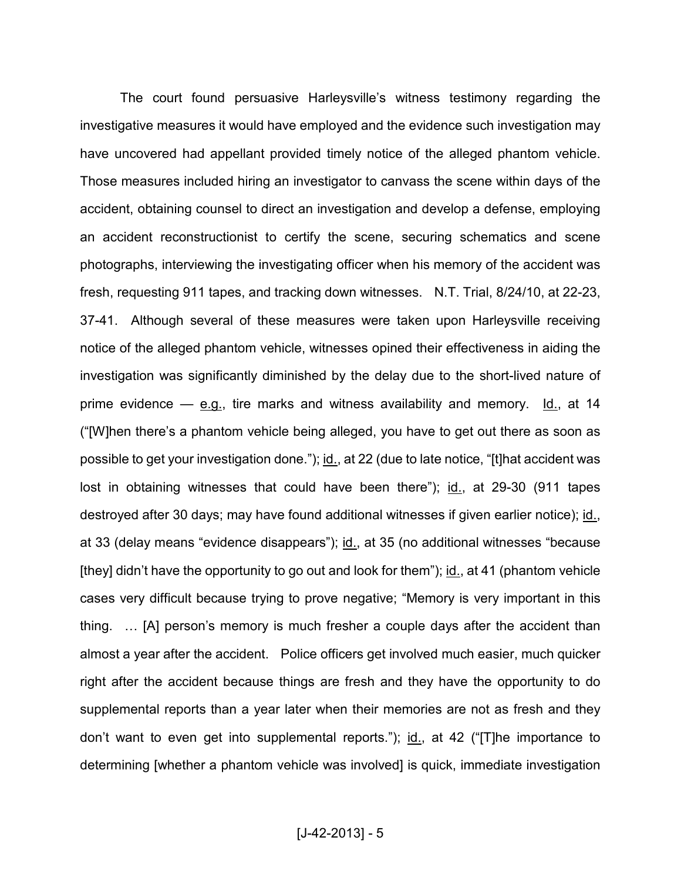The court found persuasive Harleysville's witness testimony regarding the investigative measures it would have employed and the evidence such investigation may have uncovered had appellant provided timely notice of the alleged phantom vehicle. Those measures included hiring an investigator to canvass the scene within days of the accident, obtaining counsel to direct an investigation and develop a defense, employing an accident reconstructionist to certify the scene, securing schematics and scene photographs, interviewing the investigating officer when his memory of the accident was fresh, requesting 911 tapes, and tracking down witnesses. N.T. Trial, 8/24/10, at 22-23, 37-41. Although several of these measures were taken upon Harleysville receiving notice of the alleged phantom vehicle, witnesses opined their effectiveness in aiding the investigation was significantly diminished by the delay due to the short-lived nature of prime evidence  $-$  e.g., tire marks and witness availability and memory. Id., at 14 ("[W]hen there's a phantom vehicle being alleged, you have to get out there as soon as possible to get your investigation done."); id., at 22 (due to late notice, "[t]hat accident was lost in obtaining witnesses that could have been there"); id., at 29-30 (911 tapes destroyed after 30 days; may have found additional witnesses if given earlier notice); id., at 33 (delay means "evidence disappears"); id., at 35 (no additional witnesses "because [they] didn't have the opportunity to go out and look for them"); id., at 41 (phantom vehicle cases very difficult because trying to prove negative; "Memory is very important in this thing. ... [A] person's memory is much fresher a couple days after the accident than almost a year after the accident. Police officers get involved much easier, much quicker right after the accident because things are fresh and they have the opportunity to do supplemental reports than a year later when their memories are not as fresh and they don't want to even get into supplemental reports."); id., at 42 ("[T]he importance to determining [whether a phantom vehicle was involved] is quick, immediate investigation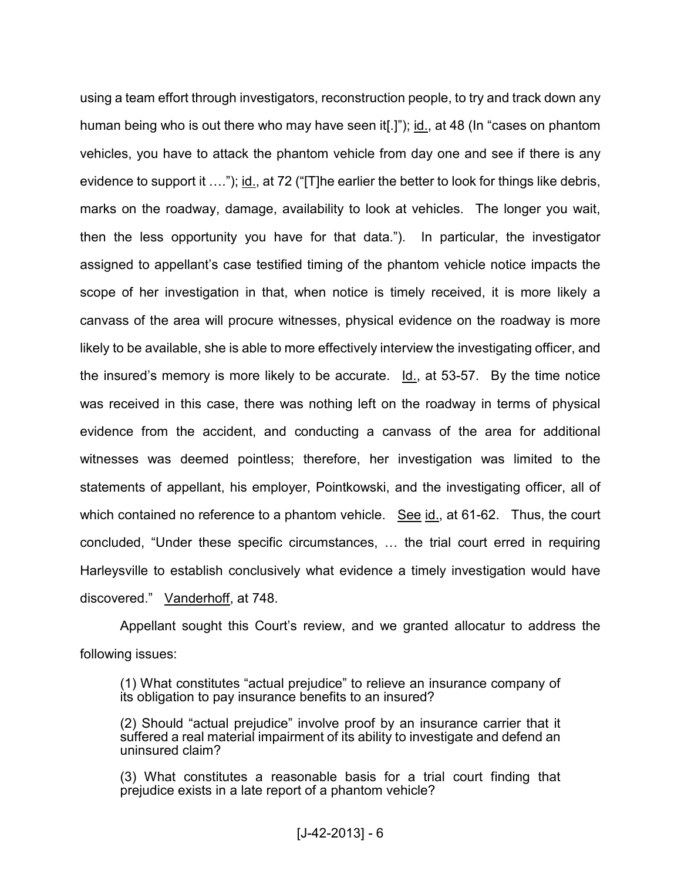using a team effort through investigators, reconstruction people, to try and track down any human being who is out there who may have seen it[.]"); id., at 48 (In "cases on phantom vehicles, you have to attack the phantom vehicle from day one and see if there is any evidence to support it  $\dots$ "); id., at 72 ("[T]he earlier the better to look for things like debris, marks on the roadway, damage, availability to look at vehicles. The longer you wait, then the less opportunity you have for that data."). In particular, the investigator assigned to appellant's case testified timing of the phantom vehicle notice impacts the scope of her investigation in that, when notice is timely received, it is more likely a canvass of the area will procure witnesses, physical evidence on the roadway is more likely to be available, she is able to more effectively interview the investigating officer, and the insured's memory is more likely to be accurate. Id., at 53-57. By the time notice was received in this case, there was nothing left on the roadway in terms of physical evidence from the accident, and conducting a canvass of the area for additional witnesses was deemed pointless; therefore, her investigation was limited to the statements of appellant, his employer, Pointkowski, and the investigating officer, all of which contained no reference to a phantom vehicle. See id., at 61-62. Thus, the court  $concluded, "Under these specific circumstances, ...$  the trial court erred in requiring Harleysville to establish conclusively what evidence a timely investigation would have discovered." Vanderhoff, at 748.

Appellant sought this Court's review, and we granted allocatur to address the following issues:

(1) What constitutes "actual prejudice" to relieve an insurance company of its obligation to pay insurance benefits to an insured?

(2) Should "actual prejudice" involve proof by an insurance carrier that it suffered a real material impairment of its ability to investigate and defend an uninsured claim?

(3) What constitutes a reasonable basis for a trial court finding that prejudice exists in a late report of a phantom vehicle?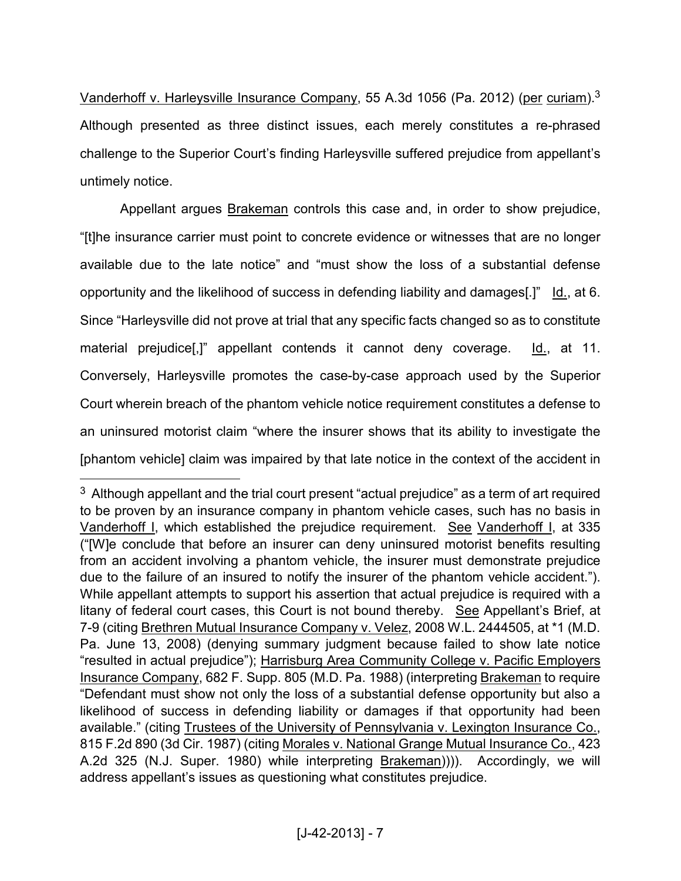Vanderhoff v. Harleysville Insurance Company, 55 A.3d 1056 (Pa. 2012) (per curiam).<sup>3</sup> Although presented as three distinct issues, each merely constitutes a re-phrased challenge to the Superior Court's finding Harleysville suffered prejudice from appellant's untimely notice.

Appellant argues Brakeman controls this case and, in order to show prejudice, "[t]he insurance carrier must point to concrete evidence or witnesses that are no longer available due to the late notice" and "must show the loss of a substantial defense opportunity and the likelihood of success in defending liability and damages[.]" Id., at 6. Since "Harleysville did not prove at trial that any specific facts changed so as to constitute material prejudice[,]" appellant contends it cannot deny coverage. Id., at 11. Conversely, Harleysville promotes the case-by-case approach used by the Superior Court wherein breach of the phantom vehicle notice requirement constitutes a defense to an uninsured motorist claim "where the insurer shows that its ability to investigate the [phantom vehicle] claim was impaired by that late notice in the context of the accident in

 $\overline{a}$ 

 $3$  Although appellant and the trial court present "actual prejudice" as a term of art required to be proven by an insurance company in phantom vehicle cases, such has no basis in Vanderhoff I, which established the prejudice requirement. See Vanderhoff I, at 335 ("[W]e conclude that before an insurer can deny uninsured motorist benefits resulting from an accident involving a phantom vehicle, the insurer must demonstrate prejudice due to the failure of an insured to notify the insurer of the phantom vehicle accident."). While appellant attempts to support his assertion that actual prejudice is required with a litany of federal court cases, this Court is not bound thereby. See Appellant's Brief, at 7-9 (citing Brethren Mutual Insurance Company v. Velez, 2008 W.L. 2444505, at \*1 (M.D. Pa. June 13, 2008) (denying summary judgment because failed to show late notice "resulted in actual prejudice"); Harrisburg Area Community College v. Pacific Employers Insurance Company, 682 F. Supp. 805 (M.D. Pa. 1988) (interpreting Brakeman to require "Defendant must show not only the loss of a substantial defense opportunity but also a likelihood of success in defending liability or damages if that opportunity had been available." (citing Trustees of the University of Pennsylvania v. Lexington Insurance Co., 815 F.2d 890 (3d Cir. 1987) (citing Morales v. National Grange Mutual Insurance Co., 423 A.2d 325 (N.J. Super. 1980) while interpreting Brakeman)))). Accordingly, we will address appellant's issues as questioning what constitutes prejudice.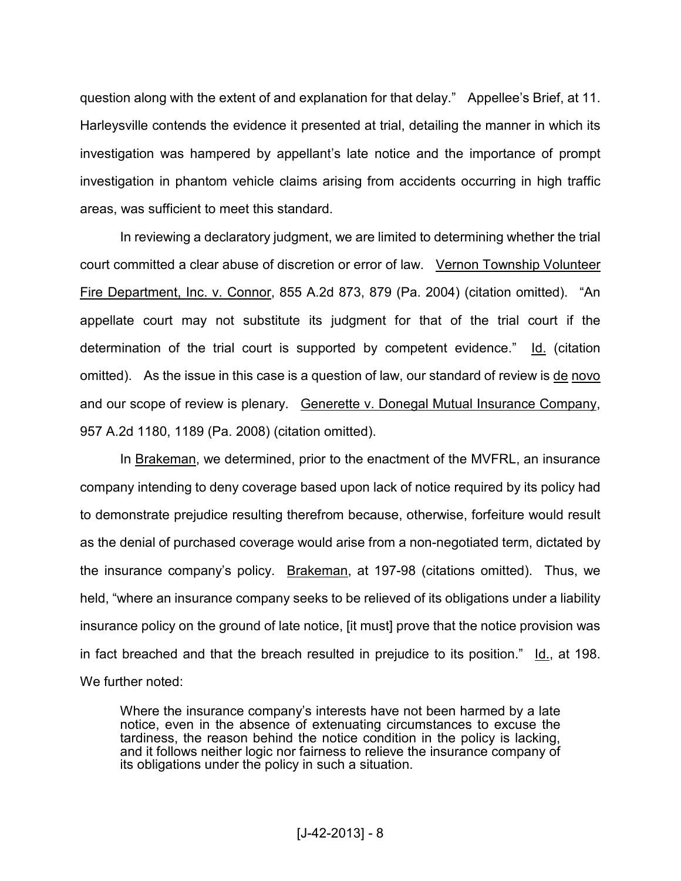question along with the extent of and explanation for that delay." Appellee's Brief, at 11. Harleysville contends the evidence it presented at trial, detailing the manner in which its investigation was hampered by appellant's late notice and the importance of prompt investigation in phantom vehicle claims arising from accidents occurring in high traffic areas, was sufficient to meet this standard.

In reviewing a declaratory judgment, we are limited to determining whether the trial court committed a clear abuse of discretion or error of law. Vernon Township Volunteer Fire Department, Inc. v. Connor, 855 A.2d 873, 879 (Pa. 2004) (citation omitted). "An appellate court may not substitute its judgment for that of the trial court if the determination of the trial court is supported by competent evidence." Id. (citation omitted). As the issue in this case is a question of law, our standard of review is de novo and our scope of review is plenary. Generette v. Donegal Mutual Insurance Company, 957 A.2d 1180, 1189 (Pa. 2008) (citation omitted).

In Brakeman, we determined, prior to the enactment of the MVFRL, an insurance company intending to deny coverage based upon lack of notice required by its policy had to demonstrate prejudice resulting therefrom because, otherwise, forfeiture would result as the denial of purchased coverage would arise from a non-negotiated term, dictated by the insurance company's policy. Brakeman, at 197-98 (citations omitted). Thus, we held, "where an insurance company seeks to be relieved of its obligations under a liability insurance policy on the ground of late notice, [it must] prove that the notice provision was in fact breached and that the breach resulted in prejudice to its position." Id., at 198. We further noted:

Where the insurance company's interests have not been harmed by a late notice, even in the absence of extenuating circumstances to excuse the tardiness, the reason behind the notice condition in the policy is lacking, and it follows neither logic nor fairness to relieve the insurance company of its obligations under the policy in such a situation.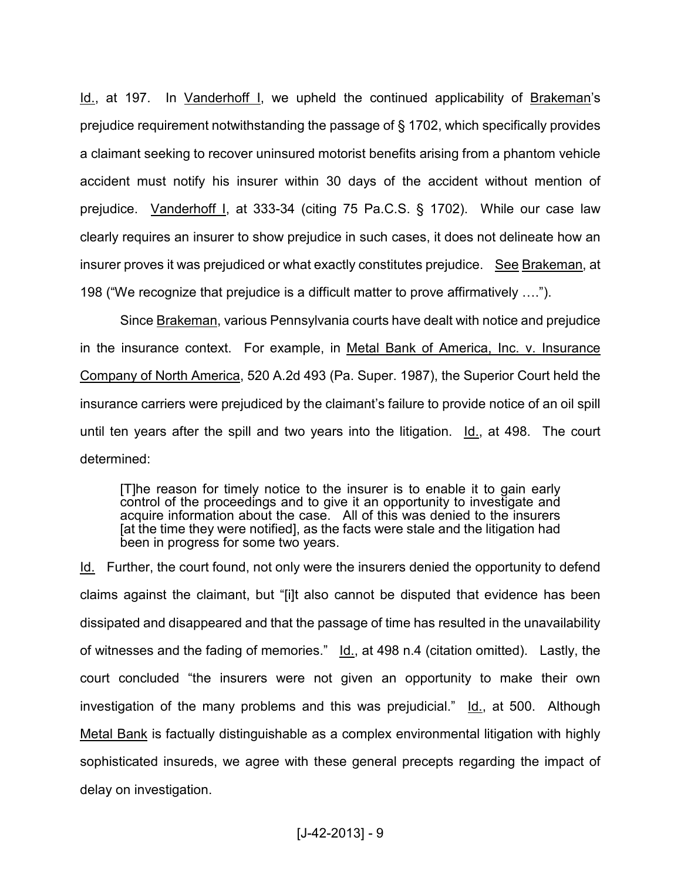Id., at 197. In Vanderhoff I, we upheld the continued applicability of Brakeman's prejudice requirement notwithstanding the passage of § 1702, which specifically provides a claimant seeking to recover uninsured motorist benefits arising from a phantom vehicle accident must notify his insurer within 30 days of the accident without mention of prejudice. Vanderhoff I, at 333-34 (citing 75 Pa.C.S. § 1702). While our case law clearly requires an insurer to show prejudice in such cases, it does not delineate how an insurer proves it was prejudiced or what exactly constitutes prejudice. See Brakeman, at 198 ("We recognize that prejudice is a difficult matter to prove affirmatively  $\dots$ ").

Since Brakeman, various Pennsylvania courts have dealt with notice and prejudice in the insurance context. For example, in Metal Bank of America, Inc. v. Insurance Company of North America, 520 A.2d 493 (Pa. Super. 1987), the Superior Court held the insurance carriers were prejudiced by the claimant's failure to provide notice of an oil spill until ten years after the spill and two years into the litigation. Id., at 498. The court determined:

[T]he reason for timely notice to the insurer is to enable it to gain early control of the proceedings and to give it an opportunity to investigate and acquire information about the case. All of this was denied to the insurers [at the time they were notified], as the facts were stale and the litigation had been in progress for some two years.

Id. Further, the court found, not only were the insurers denied the opportunity to defend claims against the claimant, but "[i]t also cannot be disputed that evidence has been dissipated and disappeared and that the passage of time has resulted in the unavailability of witnesses and the fading of memories." Id., at 498 n.4 (citation omitted). Lastly, the court concluded "the insurers were not given an opportunity to make their own investigation of the many problems and this was prejudicial." Id., at 500. Although Metal Bank is factually distinguishable as a complex environmental litigation with highly sophisticated insureds, we agree with these general precepts regarding the impact of delay on investigation.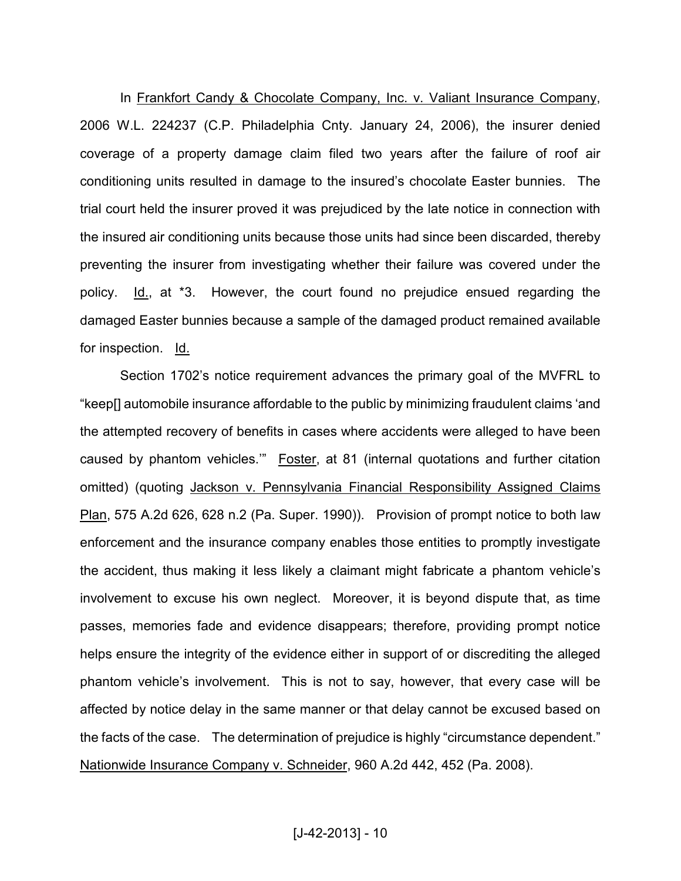In Frankfort Candy & Chocolate Company, Inc. v. Valiant Insurance Company, 2006 W.L. 224237 (C.P. Philadelphia Cnty. January 24, 2006), the insurer denied coverage of a property damage claim filed two years after the failure of roof air conditioning units resulted in damage to the insured's chocolate Easter bunnies. The trial court held the insurer proved it was prejudiced by the late notice in connection with the insured air conditioning units because those units had since been discarded, thereby preventing the insurer from investigating whether their failure was covered under the policy. Id., at \*3. However, the court found no prejudice ensued regarding the damaged Easter bunnies because a sample of the damaged product remained available for inspection. Id.

Section 1702's notice requirement advances the primary goal of the MVFRL to "keep[] automobile insurance affordable to the public by minimizing fraudulent claims 'and the attempted recovery of benefits in cases where accidents were alleged to have been caused by phantom vehicles.'" Foster, at 81 (internal quotations and further citation omitted) (quoting Jackson v. Pennsylvania Financial Responsibility Assigned Claims Plan, 575 A.2d 626, 628 n.2 (Pa. Super. 1990)). Provision of prompt notice to both law enforcement and the insurance company enables those entities to promptly investigate the accident, thus making it less likely a claimant might fabricate a phantom vehicle's involvement to excuse his own neglect. Moreover, it is beyond dispute that, as time passes, memories fade and evidence disappears; therefore, providing prompt notice helps ensure the integrity of the evidence either in support of or discrediting the alleged phantom vehicle's involvement. This is not to say, however, that every case will be affected by notice delay in the same manner or that delay cannot be excused based on the facts of the case. The determination of prejudice is highly "circumstance dependent." Nationwide Insurance Company v. Schneider, 960 A.2d 442, 452 (Pa. 2008).